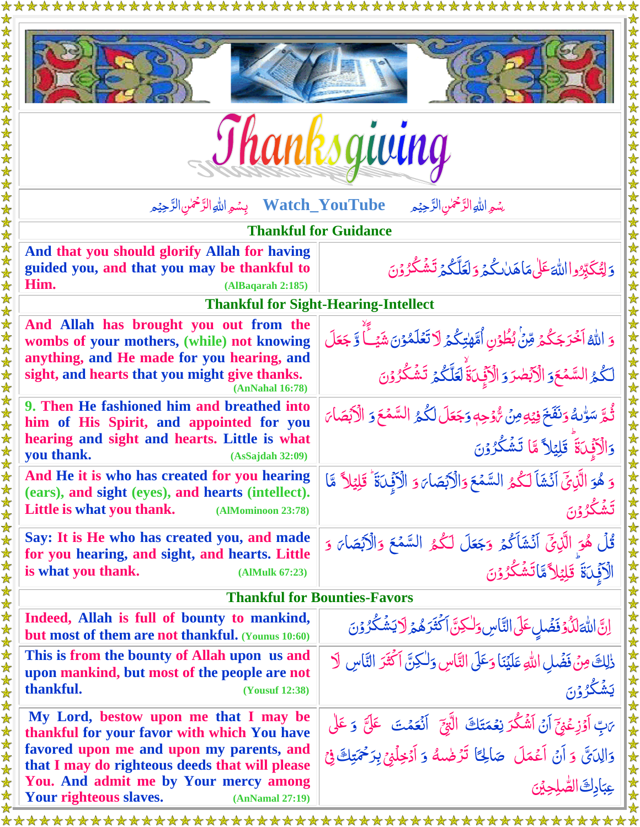| Thanksgiving                                                                                                                                                             |                                                                                                                                        |  |
|--------------------------------------------------------------------------------------------------------------------------------------------------------------------------|----------------------------------------------------------------------------------------------------------------------------------------|--|
| Watch_YouTube بِسُعِ اللَّهِ الرَّحْمٰنِ الرَّحِيْعِ                                                                                                                     | بِسْمِ اللَّهِ الرَّحْمَٰنِ الرَّحِيْمِ                                                                                                |  |
| <b>Thankful for Guidance</b>                                                                                                                                             |                                                                                                                                        |  |
| And that you should glorify Allah for having<br>guided you, and that you may be thankful to<br>Him.<br>(AlBaqarah 2:185)                                                 | دَ لِتُكَبِّرُوااللَّهَ عَلَىٰ مَاهَلْكُمْ وَلَعَلَّكُمْ تَشْكُرُوْنَ                                                                  |  |
| <b>Thankful for Sight-Hearing-Intellect</b>                                                                                                                              |                                                                                                                                        |  |
| And Allah has brought you out from the<br>wombs of your mothers, (while) not knowing<br>anything, and He made for you hearing, and                                       | وَ اللَّهُ اَخْرَجَكُمْ مِّنْ بُطُوْنِ اُمَّهْتِكُمْ لَا تَعَلَّمُوْنَ شَيْئًا وَّجَعَلَ                                               |  |
| sight, and hearts that you might give thanks.<br>(AnNahal 16:78)                                                                                                         | لَّكُمُ السَّمۡعَ الْأَبۡصَٰرَ وَ الْأَيۡلَاٰةَ لَعَلَّكُمۡ تَشۡكُرُوۡنَ                                                               |  |
| 9. Then He fashioned him and breathed into<br>him of His Spirit, and appointed for you<br>hearing and sight and hearts. Little is what<br>you thank.<br>(AsSajdah 32:09) | ثُمَّ سَوّْبُهُ وَنَفَخَ فِيُهِ مِنْ تُؤْجِهِ وَجَعَلَ لَكُمُ السَّمْعَ وَ الْأَبْصَاٰ َ<br>وَالْأَفِّيَةَ قَلِيْلاً مَّا تَشْكُرُوْنَ |  |
| And He it is who has created for you hearing<br>(ears), and sight (eyes), and hearts (intellect).<br>Little is what you thank.<br>(AlMominoon 23:78)                     | وَ هُوَ الَّذِيِّ آنَشَاَ لَكُمُ السَّمْعَ وَالْكَبْصَاءَ وَ الْكَفِّينَةَ ۚ قَلِيُلاً مَّا<br>تَشَكُرُوْنَ                            |  |
| Say: It is He who has created you, and made<br>for you hearing, and sight, and hearts. Little<br>is what you thank.<br>(AlMulk 67:23)                                    | قُلْ هُوَ الَّذِيِّ أَنۡشَأَكُمۡ وَجَعَلَ لَكُمُ السَّمۡعَ وَالۡاَبۡصَاٰءَ وَ<br>الْأَبْيَاةَ قَلِيُلاً مَّاتَشَكْرُوْنَ               |  |
| <b>Thankful for Bounties-Favors</b>                                                                                                                                      |                                                                                                                                        |  |
| Indeed, Allah is full of bounty to mankind,<br>but most of them are not thankful. (Younus 10:60)                                                                         | ٳڹٞٙٳڵڷڡؘڷۮؙۏ۫ڣؘڞؙڸؚٷٙٳڵؾۜٞٲڛۅؘڵڮڹؓٲڬۘڠؘۯۿۄ۫ڷٲؾۺؙػٛۯۯؘڹ                                                                                |  |
| This is from the bounty of Allah upon us and<br>upon mankind, but most of the people are not<br>thankful.<br><b>(Yousuf 12:38)</b>                                       | ذٰلِكَ مِنْ فَضُلِ اللَّهِ عَلَيْنَا وَعَلَى النَّاسِ وَلٰكِنَّ اَكْثَرَ النَّاسِ لَا<br>يَشْكُرُ دْنَ                                 |  |
| My Lord, bestow upon me that I may be<br>thankful for your favor with which You have                                                                                     | يَابِّ أَوْزِعُنِيِّ أَنْ أَشْكُرَ نِعْمَتَكَ الَّتِيِّ ۚ أَنْعَمْتَ ۚ عَلَى ۚ وَ عَلَى                                                |  |
| favored upon me and upon my parents, and<br>that I may do righteous deeds that will please<br>You. And admit me by Your mercy among                                      | وَالِدَىَّ وَ أَنْ أَعۡمَلَ صَالِحًا تَرۡضُلُهُ وَ أَدۡخِلۡنِيۡ بِرَحۡمَتِكَ فِيۡ<br>عِبَادِكَ الصَّلِحِينَ                            |  |
| Your righteous slaves.<br>(AnNamal 27:19)                                                                                                                                |                                                                                                                                        |  |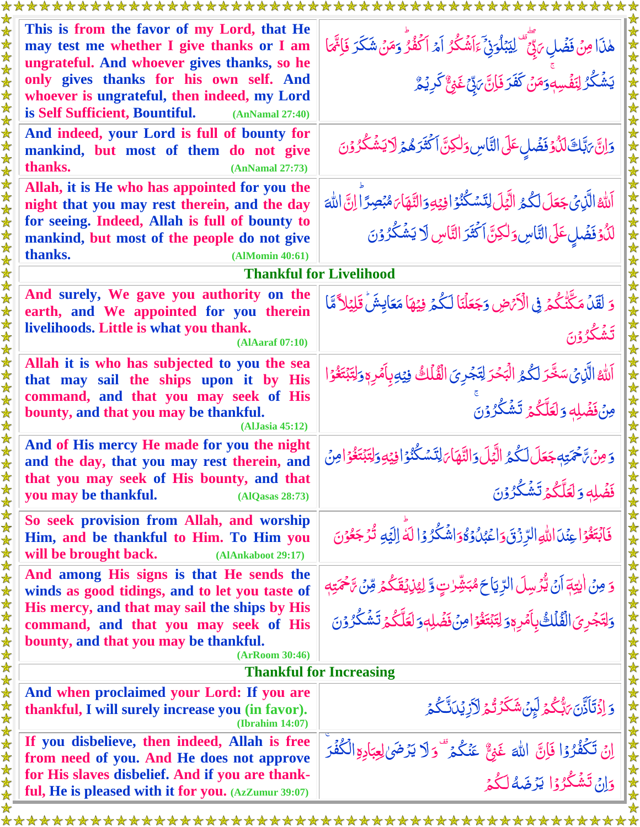| This is from the favor of my Lord, that He<br>هٰذَا مِنْ فَضۡلِ يَرِّفَّ لِيَبۡلُوَنِّيَٓ اَشۡكُرُ اَمۡ اَكۡفُرُ وَمَنۡ شَكَرَ فَاِنَّهَا<br>may test me whether I give thanks or I am<br>ungrateful. And whoever gives thanks, so he<br>ۦٙ<br>ۘؽۺۡػۢۯڶۣڹؘڡٛٙڛ؋ۜۏ <i>ٙڡؘڹٛ</i> ػڡ <i>ۏٙ</i> ۏؘٳڹؓ؍ٙڋۣ <i>ٛ</i> ۦۼٙؿ۠ <i>۠</i> ػڔؽۘۿ۠<br>only gives thanks for his own self. And<br>whoever is ungrateful, then indeed, my Lord<br>is Self Sufficient, Bountiful.<br>(AnNamal 27:40)<br>And indeed, your Lord is full of bounty for<br>وَانَّ بَبَّكَ لَذُوْ فَضَلِ عَلَى النَّاسِ وَلٰكِنَّ اَكْثَرَهُمْ لَا يَشْكُرُوْنَ<br>mankind, but most of them do not give<br>thanks.<br>(AnNamal 27:73)<br>Allah, it is He who has appointed for you the<br>اَللَّهُ الَّذِيَ جَعَلَ لَكُمُ الَّيِّلَ لِتَسْكُنُوۡ افِيۡهِ وَالنَّهَاٰءَ مُبۡصِرًا إِنَّ اللَّهَ<br>night that you may rest therein, and the day<br>لَّذُوْفَضُلِ عَلَى التَّاسِ وَلٰكِنَّ اَكْثَرَ التَّاسِ لَا يَشُكُرُوْنَ<br>for seeing. Indeed, Allah is full of bounty to<br>mankind, but most of the people do not give<br>thanks.<br>(AlMomin 40:61)<br><b>Thankful for Livelihood</b><br>And surely, We gave you authority on the<br>وَ لَقَلْ مَكَّتْكُمْ فِي الْأَيْضِ وَجَعَلْنَا لَكُمْ فِيْهَا مَعَايِشٌ قَلِيُلاً مَّا<br>earth, and We appointed for you therein<br>livelihoods. Little is what you thank.<br>تَشَكُّرُ وْنَ<br>(AlAaraf 07:10)<br>Allah it is who has subjected to you the sea<br>اَللّٰهُ الَّذِيۡ سَخَّرَ لَكُمُ الۡبَحۡرَ لِتَجۡرِىَ الۡقُلۡكُ فِيۡدِبِاَمۡرِمٖوَلِتَبۡتَغُوۡ ا<br>that may sail the ships upon it by His<br>ِ<br>مِنۡفَضۡلِهٖ وَلَعَلَّكُمۡ تَشۡكُرُوۡنَ<br>command, and that you may seek of His<br>bounty, and that you may be thankful.<br>(AlJasia 45:12) |
|-----------------------------------------------------------------------------------------------------------------------------------------------------------------------------------------------------------------------------------------------------------------------------------------------------------------------------------------------------------------------------------------------------------------------------------------------------------------------------------------------------------------------------------------------------------------------------------------------------------------------------------------------------------------------------------------------------------------------------------------------------------------------------------------------------------------------------------------------------------------------------------------------------------------------------------------------------------------------------------------------------------------------------------------------------------------------------------------------------------------------------------------------------------------------------------------------------------------------------------------------------------------------------------------------------------------------------------------------------------------------------------------------------------------------------------------------------------------------------------------------------------------------------------------------------------------------------------------------------------------------------------------------------------------------------------------------------------------------------------------------------------------------------|
|                                                                                                                                                                                                                                                                                                                                                                                                                                                                                                                                                                                                                                                                                                                                                                                                                                                                                                                                                                                                                                                                                                                                                                                                                                                                                                                                                                                                                                                                                                                                                                                                                                                                                                                                                                             |
|                                                                                                                                                                                                                                                                                                                                                                                                                                                                                                                                                                                                                                                                                                                                                                                                                                                                                                                                                                                                                                                                                                                                                                                                                                                                                                                                                                                                                                                                                                                                                                                                                                                                                                                                                                             |
|                                                                                                                                                                                                                                                                                                                                                                                                                                                                                                                                                                                                                                                                                                                                                                                                                                                                                                                                                                                                                                                                                                                                                                                                                                                                                                                                                                                                                                                                                                                                                                                                                                                                                                                                                                             |
|                                                                                                                                                                                                                                                                                                                                                                                                                                                                                                                                                                                                                                                                                                                                                                                                                                                                                                                                                                                                                                                                                                                                                                                                                                                                                                                                                                                                                                                                                                                                                                                                                                                                                                                                                                             |
|                                                                                                                                                                                                                                                                                                                                                                                                                                                                                                                                                                                                                                                                                                                                                                                                                                                                                                                                                                                                                                                                                                                                                                                                                                                                                                                                                                                                                                                                                                                                                                                                                                                                                                                                                                             |
|                                                                                                                                                                                                                                                                                                                                                                                                                                                                                                                                                                                                                                                                                                                                                                                                                                                                                                                                                                                                                                                                                                                                                                                                                                                                                                                                                                                                                                                                                                                                                                                                                                                                                                                                                                             |
| And of His mercy He made for you the night<br><u>وَمِنْ تَاجَّهَتِهِ جَعَلَ لَكُمُّ الَّيْلَ وَالتَّهَايَ لِتَسْكُنُوْافِيْهِ وَلِتَبْتَغُوْامِنُ</u><br>and the day, that you may rest therein, and<br>that you may seek of His bounty, and that<br>فَضَٰلِهِ وَلَعَلَّكُمْ تَشْكُرُوْنَ<br>you may be thankful.<br>(AlQasas 28:73)                                                                                                                                                                                                                                                                                                                                                                                                                                                                                                                                                                                                                                                                                                                                                                                                                                                                                                                                                                                                                                                                                                                                                                                                                                                                                                                                                                                                                                        |
| So seek provision from Allah, and worship<br>فَابْتَغُوْاعِنُدَاللَّهِ الرِّزْقَ وَاعْبُلُوۡوَٰوَاشَكُرُوۡا لَهَ اِلَّيۡهِ تُرۡجَعُوۡنَ<br>Him, and be thankful to Him. To Him you<br>will be brought back.<br>(AlAnkaboot 29:17)                                                                                                                                                                                                                                                                                                                                                                                                                                                                                                                                                                                                                                                                                                                                                                                                                                                                                                                                                                                                                                                                                                                                                                                                                                                                                                                                                                                                                                                                                                                                           |
| And among His signs is that He sends the<br>وَ مِنْ اٰيِتِهَ أَنۡ يُّرۡسِلَ الرِّيَاحَ هُبَشِّرٰتٍ وَّ لِيُزِيۡقَكُمۡ مِّنۡ سَّحۡمَتِهِ<br>winds as good tidings, and to let you taste of<br>His mercy, and that may sail the ships by His<br><u>وَلِتَجْرِيَ الْفُلْكُ بِأَمْرِمِوَ لِتَبْتَغُوْ امِنْ فَضُلِهِ وَ لَعَلَّكُمْ تَشْكُرُوْنَ</u><br>command, and that you may seek of His<br>bounty, and that you may be thankful.<br>(ArRoom 30:46)                                                                                                                                                                                                                                                                                                                                                                                                                                                                                                                                                                                                                                                                                                                                                                                                                                                                                                                                                                                                                                                                                                                                                                                                                                                                                                                        |
| <b>Thankful for Increasing</b>                                                                                                                                                                                                                                                                                                                                                                                                                                                                                                                                                                                                                                                                                                                                                                                                                                                                                                                                                                                                                                                                                                                                                                                                                                                                                                                                                                                                                                                                                                                                                                                                                                                                                                                                              |
| And when proclaimed your Lord: If you are<br><u>وَ اِذْتَاَنَّنَ</u> ؆ؠُّكُمۡ لَبِنۡ شَكِّرۡ تُّمۡ لَآَزِیۡلَاتَّکُمۡ ۖ<br>thankful, I will surely increase you (in favor).<br>(Ibrahim 14:07)                                                                                                                                                                                                                                                                                                                                                                                                                                                                                                                                                                                                                                                                                                                                                                                                                                                                                                                                                                                                                                                                                                                                                                                                                                                                                                                                                                                                                                                                                                                                                                              |
| If you disbelieve, then indeed, Allah is free<br>اِنْ تَكْفُرُوۡا فَاِنَّ اللَّهَ غَنِيٌّ عَنُكُمۡ ۚ وَلَا يَرۡضَىٰلِعِبَادِهِالۡكُفۡرَ<br>from need of you. And He does not approve<br>for His slaves disbelief. And if you are thank-<br>وَإِنْ تَشْكُرُوۡا يَرۡضَهُ لَكُمۡ<br>ful, He is pleased with it for you. (AzZumur 39:07)                                                                                                                                                                                                                                                                                                                                                                                                                                                                                                                                                                                                                                                                                                                                                                                                                                                                                                                                                                                                                                                                                                                                                                                                                                                                                                                                                                                                                                        |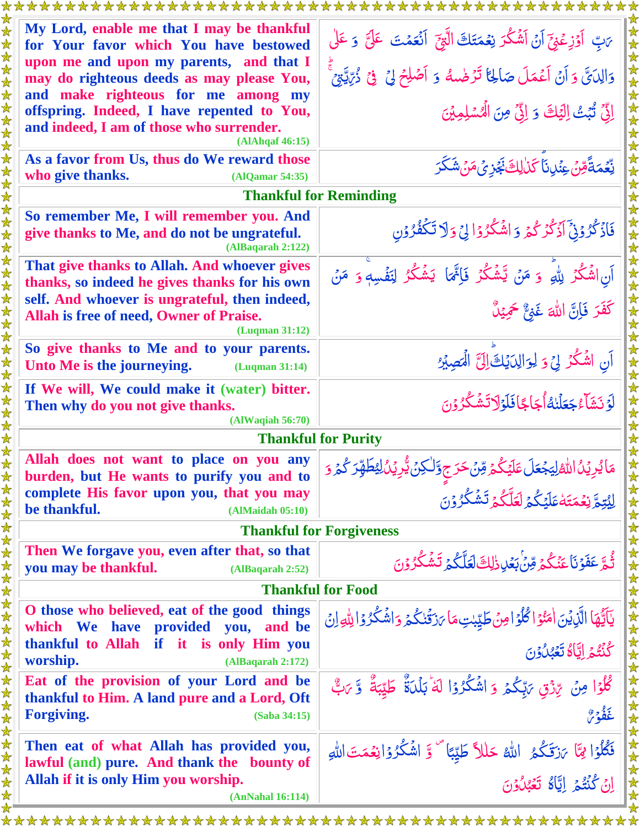|                                         | My Lord, enable me that I may be thankful                                         |                                                                                                                                                             |  |
|-----------------------------------------|-----------------------------------------------------------------------------------|-------------------------------------------------------------------------------------------------------------------------------------------------------------|--|
|                                         | for Your favor which You have bestowed                                            | يَابٌ أَوْزِعُنِيَّ أَنْ أَشُكُرَ نِعُمَتَكَ الَّتِيَّ ۖ أَنُعَمْتَ ۚ عَلَى ۚ وَ عَلَىٰ                                                                     |  |
|                                         | upon me and upon my parents, and that I                                           | وَالِدَىَّ وَ أَنۡ اَعۡمَلَ صَالِحًا تَرۡضٰلُهُ ۚ وَ اَصۡلِحۡۚ لِيۡ ۚ فِيۡ ذُبِّيَّتِيۡ ۚ                                                                   |  |
|                                         | may do righteous deeds as may please You,<br>and make righteous for me among my   |                                                                                                                                                             |  |
|                                         | offspring. Indeed, I have repented to You,                                        | إِنَّىٰ تُبْتُ إِلَيْكَ وَ إِنَّىٰ مِنَ الْمُسْلِمِينَ                                                                                                      |  |
|                                         | and indeed, I am of those who surrender.                                          |                                                                                                                                                             |  |
|                                         | (AlAhqaf 46:15)                                                                   |                                                                                                                                                             |  |
|                                         | As a favor from Us, thus do We reward those                                       | <u>ئ</u> ِّغُمَةً <i>قِّنْ عِنْ</i> لِنَا كَلْلِكَ نَجُزِيُ مَنْ شَكَّرَ                                                                                    |  |
|                                         | who give thanks.<br>(AlQamar 54:35)                                               |                                                                                                                                                             |  |
|                                         |                                                                                   | <b>Thankful for Reminding</b>                                                                                                                               |  |
|                                         | So remember Me, I will remember you. And                                          | فَأَذْكُرُوۡنَىٰٓ أَذۡ كُرۡ كَهُ وَ اشۡكُرُوۡا لِيۡ وَلَا تَكۡفُرُوۡن                                                                                       |  |
|                                         | give thanks to Me, and do not be ungrateful.<br>(AlBaqarah 2:122)                 |                                                                                                                                                             |  |
|                                         | That give thanks to Allah. And whoever gives                                      |                                                                                                                                                             |  |
|                                         | thanks, so indeed he gives thanks for his own                                     | اَنِ شَكْرُ لِللَّهِ ۚ وَ مَنۡ لَّیۡشُكُرۡ فَاِئۡمَا ۖ یَشۡکُرُ لِنَفۡسِهٖ وَ مَنۡ                                                                          |  |
|                                         | self. And whoever is ungrateful, then indeed,                                     |                                                                                                                                                             |  |
|                                         | Allah is free of need, Owner of Praise.                                           | كَفَرَ فَإِنَّ اللَّهَ غَنٌّ حَمِيْلٌ                                                                                                                       |  |
|                                         | (Luqman 31:12)                                                                    |                                                                                                                                                             |  |
|                                         | So give thanks to Me and to your parents.                                         | أن اشْكُرُ لِيَ وَ لِوَالِدَيْكَ إِلَيَّ الْمَصِيْرُ                                                                                                        |  |
|                                         | Unto Me is the journeying.<br>(Luqman 31:14)                                      |                                                                                                                                                             |  |
|                                         | If We will, We could make it (water) bitter.                                      | لَوۡ نَشَأۡ مُحۡعَلۡنَٰهُۥۢكَجَالَحَلَاوَلَا تَشۡكُرُ وۡنَ                                                                                                  |  |
|                                         | Then why do you not give thanks.<br>(AIWaqiah 56:70)                              |                                                                                                                                                             |  |
|                                         |                                                                                   | <b>Thankful for Purity</b>                                                                                                                                  |  |
| Allah does not want to place on you any |                                                                                   |                                                                                                                                                             |  |
|                                         | burden, but He wants to purify you and to                                         | مَايُرِيۡدُاللّٰٰٓاءُلِيَجۡعَلَ عَلَيۡكُمۡ مِّنۡ حَرَجٍ وَّلٰكِنۡ يُّرِيۡدُٰكِيۡطَهِّرَ كُمۡ وَ<br>لِيُتِمَّ نِعۡمَتَهُ عَلَيۡكُمۡ لَعَلَّكُمۡ تَشۡكُرُوۡنَ |  |
|                                         | complete His favor upon you, that you may                                         |                                                                                                                                                             |  |
|                                         | be thankful.<br>(AIMaidah 05:10)                                                  |                                                                                                                                                             |  |
| <b>Thankful for Forgiveness</b>         |                                                                                   |                                                                                                                                                             |  |
|                                         | Then We forgave you, even after that, so that                                     | ٙؿ۠ۄۜۼ <i>ڣؘ</i> ۏٙڹٵۼؘؠ۠ڴؽ؋ۺؘ۠ <sub>ڹ</sub> ۼڸڔ۬ڸڮ۩ڣڷػڴػۄ۫ؾٙۺؙػ۠ۯۅ۫ڹ                                                                                       |  |
|                                         | you may be thankful.<br>(AlBaqarah 2:52)                                          |                                                                                                                                                             |  |
|                                         | <b>Thankful for Food</b>                                                          |                                                                                                                                                             |  |
|                                         | O those who believed, eat of the good things                                      | يَآَيُّهَا الَّذِيْنَ اٰمَنُوۡٓا كُلُوۡۤا مِنۡ طَيِّبِٰتِ مَا يَرۡتَنۡكُمۡ وَاشۡكُرُوۡا لِلَّهِ إِنۡ                                                        |  |
|                                         | which We have<br>and be<br>provided you,                                          |                                                                                                                                                             |  |
|                                         | thankful to Allah if it is only Him you                                           | كُنْتُمْ إِيَّاكُا تَعَبْلُوْنَ                                                                                                                             |  |
|                                         | worship.<br>(AlBaqarah 2:172)                                                     |                                                                                                                                                             |  |
|                                         | Eat of the provision of your Lord and be                                          | كُلُوۡا مِنۡ يِّنۡنَى يَبِّكُمۡ وَ اشۡكُرُوۡا لَهُ بَلۡلَىٰٓةٌ ۚ طَیِّبَةٌ ۚ وَ يَٰكُ                                                                       |  |
|                                         | thankful to Him. A land pure and a Lord, Oft<br><b>Forgiving.</b><br>(Saba 34:15) | غَفْوص                                                                                                                                                      |  |
|                                         |                                                                                   |                                                                                                                                                             |  |
|                                         | Then eat of what Allah has provided you,                                          | فَكُلُوۡا مِمَّا يَزَقَّكُمُ اللَّهُ حَللاً طَيِّبًا ۚ وَّ اشۡكُرُوۡانِعۡمَتَاللَّهِ                                                                        |  |
|                                         | lawful (and) pure. And thank the bounty of                                        |                                                                                                                                                             |  |
|                                         | Allah if it is only Him you worship.                                              | إن كُنْتُمُ إِيَّاكُ تَعَبُّلُوْنَ                                                                                                                          |  |
|                                         | (AnNahal 16:114)                                                                  |                                                                                                                                                             |  |